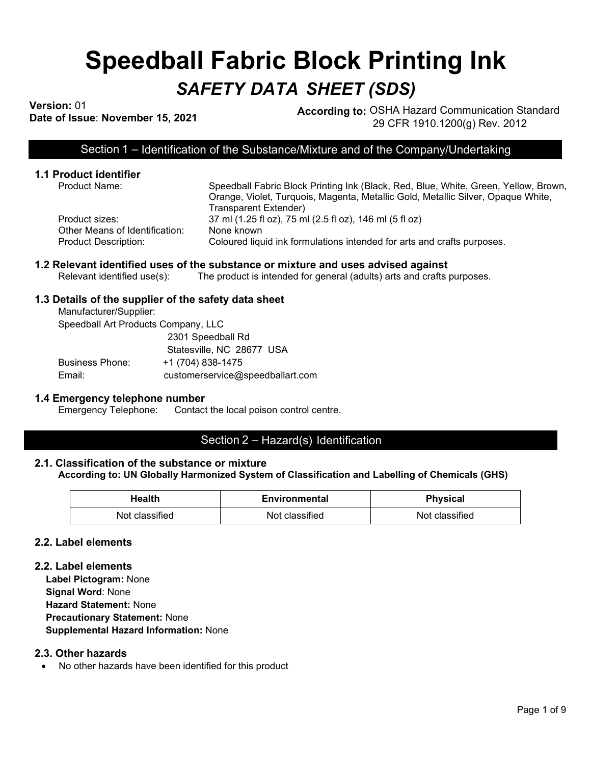# **Speedball Fabric Block Printing Ink** *SAFETY DATA SHEET (SDS)*

**Version:** 01

**Drefsion:** 01<br>Date of Issue: November 15, 2021 **According to:** OSHA Hazard Communication Standard 29 CFR 1910.1200(g) Rev. 2012

Section 1 – Identification of the Substance/Mixture and of the Company/Undertaking

## **1.1 Product identifier**

Speedball Fabric Block Printing Ink (Black, Red, Blue, White, Green, Yellow, Brown, Orange, Violet, Turquois, Magenta, Metallic Gold, Metallic Silver, Opaque White, Transparent Extender) Product sizes: 37 ml (1.25 fl oz), 75 ml (2.5 fl oz), 146 ml (5 fl oz) Other Means of Identification: None known Product Description: Coloured liquid ink formulations intended for arts and crafts purposes.

## **1.2 Relevant identified uses of the substance or mixture and uses advised against**<br>Relevant identified use(s): The product is intended for general (adults) arts and crafts **product**

The product is intended for general (adults) arts and crafts purposes.

## **1.3 Details of the supplier of the safety data sheet**

Manufacturer/Supplier: Speedball Art Products Company, LLC 2301 Speedball Rd Statesville, NC 28677 USA Business Phone: +1 (704) 838-1475 Email: customerservice@speedballart.com

## **1.4 Emergency telephone number**

Contact the local poison control centre.

## Section 2 – Hazard(s) Identification

## **2.1. Classification of the substance or mixture**

**According to: UN Globally Harmonized System of Classification and Labelling of Chemicals (GHS)**

| Health         | Environmental  | <b>Physical</b> |  |
|----------------|----------------|-----------------|--|
| Not classified | Not classified | Not classified  |  |

## **2.2. Label elements**

#### **2.2. Label elements**

**Label Pictogram:** None **Signal Word**: None **Hazard Statement:** None **Precautionary Statement:** None **Supplemental Hazard Information:** None

#### **2.3. Other hazards**

• No other hazards have been identified for this product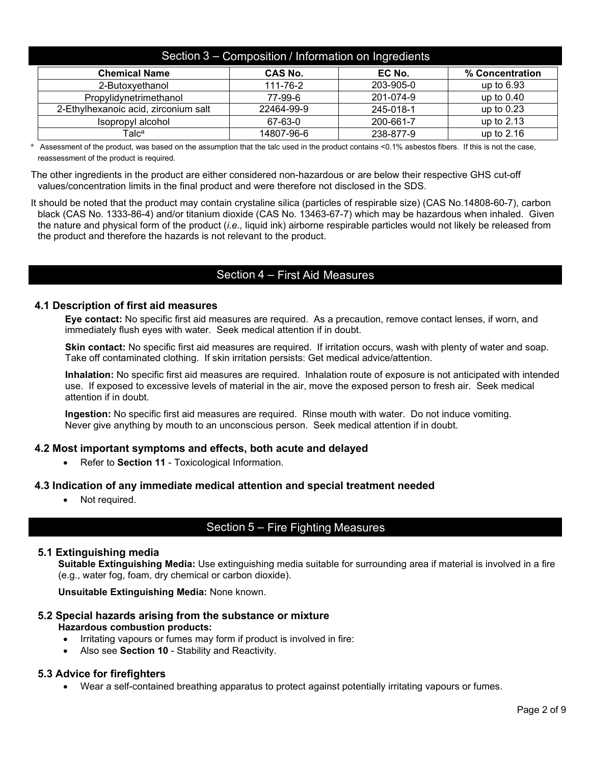| Section 3 – Composition / Information on Ingredients |                |           |                 |
|------------------------------------------------------|----------------|-----------|-----------------|
| <b>Chemical Name</b>                                 | <b>CAS No.</b> | EC No.    | % Concentration |
| 2-Butoxyethanol                                      | 111-76-2       | 203-905-0 | up to $6.93$    |
| Propylidynetrimethanol                               | 77-99-6        | 201-074-9 | up to $0.40$    |
| 2-Ethylhexanoic acid, zirconium salt                 | 22464-99-9     | 245-018-1 | up to $0.23$    |
| Isopropyl alcohol                                    | 67-63-0        | 200-661-7 | up to 2.13      |
| Talcª                                                | 14807-96-6     | 238-877-9 | up to $2.16$    |

a Assessment of the product, was based on the assumption that the talc used in the product contains <0.1% asbestos fibers. If this is not the case, reassessment of the product is required.

The other ingredients in the product are either considered non-hazardous or are below their respective GHS cut-off values/concentration limits in the final product and were therefore not disclosed in the SDS.

It should be noted that the product may contain crystaline silica (particles of respirable size) (CAS No.14808-60-7), carbon black (CAS No. 1333-86-4) and/or titanium dioxide (CAS No. 13463-67-7) which may be hazardous when inhaled. Given the nature and physical form of the product (*i.e.,* liquid ink) airborne respirable particles would not likely be released from the product and therefore the hazards is not relevant to the product.

## Section 4 – First Aid Measures

#### **4.1 Description of first aid measures**

**Eye contact:** No specific first aid measures are required. As a precaution, remove contact lenses, if worn, and immediately flush eyes with water. Seek medical attention if in doubt.

**Skin contact:** No specific first aid measures are required. If irritation occurs, wash with plenty of water and soap. Take off contaminated clothing. If skin irritation persists: Get medical advice/attention.

**Inhalation:** No specific first aid measures are required. Inhalation route of exposure is not anticipated with intended use. If exposed to excessive levels of material in the air, move the exposed person to fresh air. Seek medical attention if in doubt.

**Ingestion:** No specific first aid measures are required. Rinse mouth with water. Do not induce vomiting. Never give anything by mouth to an unconscious person. Seek medical attention if in doubt.

#### **4.2 Most important symptoms and effects, both acute and delayed**

• Refer to **Section 11** - Toxicological Information.

## **4.3 Indication of any immediate medical attention and special treatment needed**

• Not required.

## Section 5 – Fire Fighting Measures

#### **5.1 Extinguishing media**

**Suitable Extinguishing Media:** Use extinguishing media suitable for surrounding area if material is involved in a fire (e.g., water fog, foam, dry chemical or carbon dioxide).

**Unsuitable Extinguishing Media:** None known.

#### **5.2 Special hazards arising from the substance or mixture Hazardous combustion products:**

- Irritating vapours or fumes may form if product is involved in fire:
- Also see **Section 10** Stability and Reactivity.

## **5.3 Advice for firefighters**

• Wear a self-contained breathing apparatus to protect against potentially irritating vapours or fumes.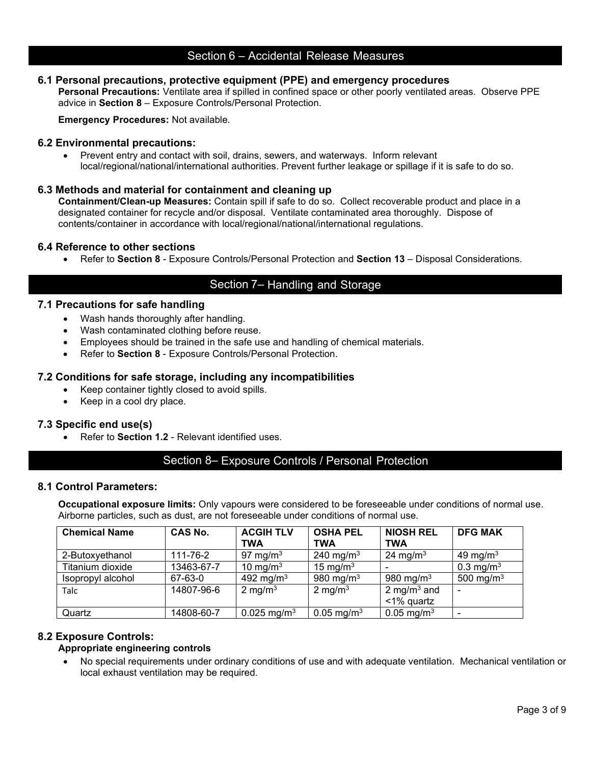## Section 6 – Accidental Release Measures

## **6.1 Personal precautions, protective equipment (PPE) and emergency procedures**

**Personal Precautions:** Ventilate area if spilled in confined space or other poorly ventilated areas. Observe PPE advice in **Section 8** – Exposure Controls/Personal Protection.

**Emergency Procedures:** Not available.

#### **6.2 Environmental precautions:**

• Prevent entry and contact with soil, drains, sewers, and waterways. Inform relevant local/regional/national/international authorities. Prevent further leakage or spillage if it is safe to do so.

## **6.3 Methods and material for containment and cleaning up**

**Containment/Clean-up Measures:** Contain spill if safe to do so. Collect recoverable product and place in a designated container for recycle and/or disposal. Ventilate contaminated area thoroughly. Dispose of contents/container in accordance with local/regional/national/international regulations.

## **6.4 Reference to other sections**

• Refer to **Section 8** - Exposure Controls/Personal Protection and **Section 13** – Disposal Considerations.

## Section 7– Handling and Storage

#### **7.1 Precautions for safe handling**

- Wash hands thoroughly after handling.
- Wash contaminated clothing before reuse.
- Employees should be trained in the safe use and handling of chemical materials.
- Refer to **Section 8** Exposure Controls/Personal Protection.

## **7.2 Conditions for safe storage, including any incompatibilities**

- Keep container tightly closed to avoid spills.
- Keep in a cool dry place.

#### **7.3 Specific end use(s)**

• Refer to **Section 1.2** - Relevant identified uses.

## Section 8– Exposure Controls / Personal Protection

#### **8.1 Control Parameters:**

**Occupational exposure limits:** Only vapours were considered to be foreseeable under conditions of normal use. Airborne particles, such as dust, are not foreseeable under conditions of normal use.

| <b>Chemical Name</b> | CAS No.    | <b>ACGIH TLV</b><br><b>TWA</b> | <b>OSHA PEL</b><br><b>TWA</b> | <b>NIOSH REL</b><br>TWA | <b>DFG MAK</b>           |
|----------------------|------------|--------------------------------|-------------------------------|-------------------------|--------------------------|
| 2-Butoxvethanol      | 111-76-2   | 97 mg/m $3$                    | 240 mg/m <sup>3</sup>         | 24 mg/m <sup>3</sup>    | 49 mg/m $3$              |
| Titanium dioxide     | 13463-67-7 | 10 mg/m $3$                    | 15 mg/m $3$                   |                         | $0.3 \,\mathrm{mg/m^3}$  |
| Isopropyl alcohol    | 67-63-0    | 492 mg/m $3$                   | 980 mg/m <sup>3</sup>         | 980 mg/m $3$            | 500 mg/m $3$             |
| Talc                 | 14807-96-6 | 2 mg/m $3$                     | $2 \text{ mg/m}^3$            | 2 mg/m <sup>3</sup> and | $\overline{\phantom{0}}$ |
|                      |            |                                |                               | <1% quartz              |                          |
| Quartz               | 14808-60-7 | $0.025$ mg/m <sup>3</sup>      | $0.05 \text{ mg/m}^3$         | $0.05 \text{ mg/m}^3$   | $\overline{\phantom{0}}$ |

## **8.2 Exposure Controls:**

## **Appropriate engineering controls**

• No special requirements under ordinary conditions of use and with adequate ventilation. Mechanical ventilation or local exhaust ventilation may be required.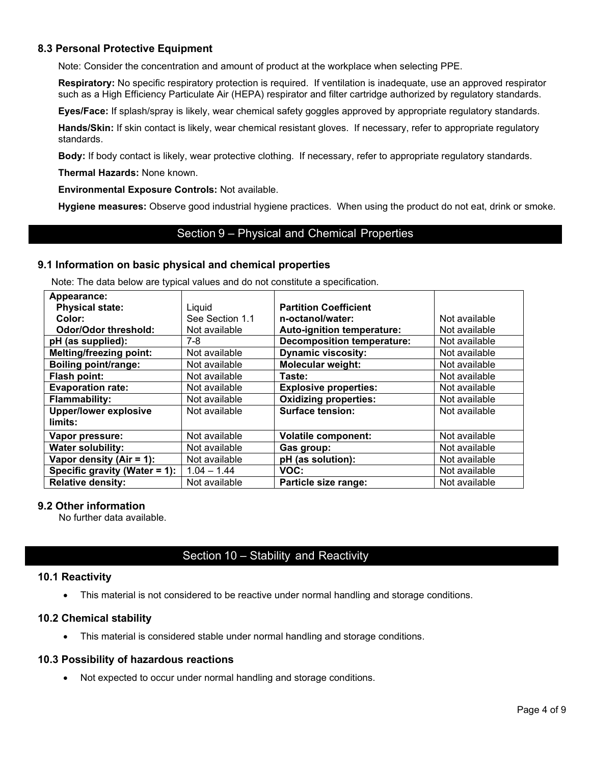## **8.3 Personal Protective Equipment**

Note: Consider the concentration and amount of product at the workplace when selecting PPE.

**Respiratory:** No specific respiratory protection is required. If ventilation is inadequate, use an approved respirator such as a High Efficiency Particulate Air (HEPA) respirator and filter cartridge authorized by regulatory standards.

**Eyes/Face:** If splash/spray is likely, wear chemical safety goggles approved by appropriate regulatory standards.

**Hands/Skin:** If skin contact is likely, wear chemical resistant gloves. If necessary, refer to appropriate regulatory standards.

**Body:** If body contact is likely, wear protective clothing. If necessary, refer to appropriate regulatory standards.

**Thermal Hazards:** None known.

**Environmental Exposure Controls:** Not available.

**Hygiene measures:** Observe good industrial hygiene practices. When using the product do not eat, drink or smoke.

## Section 9 – Physical and Chemical Properties

## **9.1 Information on basic physical and chemical properties**

Note: The data below are typical values and do not constitute a specification.

| Appearance:                    |                 |                                   |               |
|--------------------------------|-----------------|-----------------------------------|---------------|
| <b>Physical state:</b>         | Liquid          | <b>Partition Coefficient</b>      |               |
| Color:                         | See Section 1.1 | n-octanol/water:                  | Not available |
| <b>Odor/Odor threshold:</b>    | Not available   | Auto-ignition temperature:        | Not available |
| pH (as supplied):              | 7-8             | <b>Decomposition temperature:</b> | Not available |
| <b>Melting/freezing point:</b> | Not available   | <b>Dynamic viscosity:</b>         | Not available |
| <b>Boiling point/range:</b>    | Not available   | <b>Molecular weight:</b>          | Not available |
| Flash point:                   | Not available   | Taste:                            | Not available |
| <b>Evaporation rate:</b>       | Not available   | <b>Explosive properties:</b>      | Not available |
| <b>Flammability:</b>           | Not available   | <b>Oxidizing properties:</b>      | Not available |
| <b>Upper/lower explosive</b>   | Not available   | <b>Surface tension:</b>           | Not available |
| limits:                        |                 |                                   |               |
| Vapor pressure:                | Not available   | <b>Volatile component:</b>        | Not available |
| <b>Water solubility:</b>       | Not available   | Gas group:                        | Not available |
| Vapor density (Air = 1):       | Not available   | pH (as solution):                 | Not available |
| Specific gravity (Water = 1):  | $1.04 - 1.44$   | VOC:                              | Not available |
| <b>Relative density:</b>       | Not available   | Particle size range:              | Not available |

## **9.2 Other information**

No further data available.

## Section 10 – Stability and Reactivity

## **10.1 Reactivity**

• This material is not considered to be reactive under normal handling and storage conditions.

## **10.2 Chemical stability**

• This material is considered stable under normal handling and storage conditions.

## **10.3 Possibility of hazardous reactions**

Not expected to occur under normal handling and storage conditions.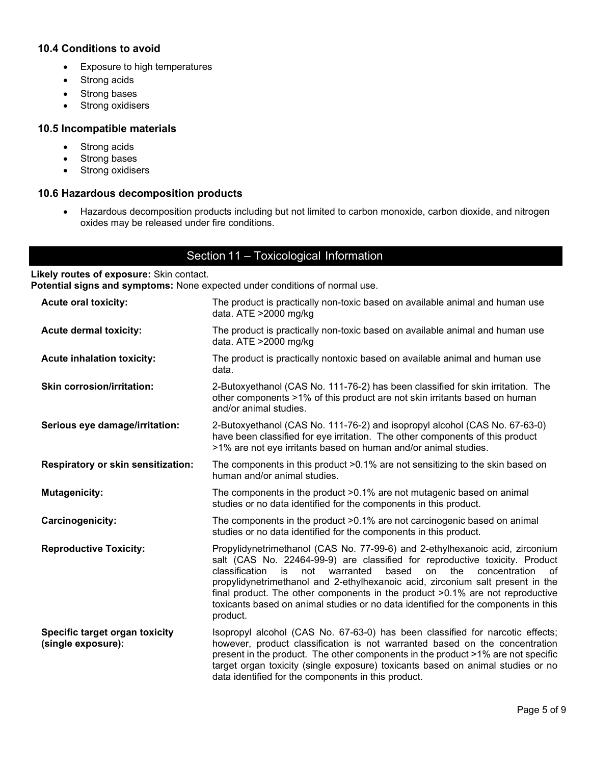## **10.4 Conditions to avoid**

- Exposure to high temperatures
- Strong acids
- Strong bases
- Strong oxidisers

## **10.5 Incompatible materials**

- Strong acids
- Strong bases
- Strong oxidisers

## **10.6 Hazardous decomposition products**

• Hazardous decomposition products including but not limited to carbon monoxide, carbon dioxide, and nitrogen oxides may be released under fire conditions.

## Section 11 – Toxicological Information

#### **Likely routes of exposure:** Skin contact.

**Potential signs and symptoms:** None expected under conditions of normal use.

| <b>Acute oral toxicity:</b>                          | The product is practically non-toxic based on available animal and human use<br>data. ATE >2000 mg/kg                                                                                                                                                                                                                                                                                                                                                                                                                         |
|------------------------------------------------------|-------------------------------------------------------------------------------------------------------------------------------------------------------------------------------------------------------------------------------------------------------------------------------------------------------------------------------------------------------------------------------------------------------------------------------------------------------------------------------------------------------------------------------|
| <b>Acute dermal toxicity:</b>                        | The product is practically non-toxic based on available animal and human use<br>data. ATE >2000 mg/kg                                                                                                                                                                                                                                                                                                                                                                                                                         |
| <b>Acute inhalation toxicity:</b>                    | The product is practically nontoxic based on available animal and human use<br>data.                                                                                                                                                                                                                                                                                                                                                                                                                                          |
| <b>Skin corrosion/irritation:</b>                    | 2-Butoxyethanol (CAS No. 111-76-2) has been classified for skin irritation. The<br>other components >1% of this product are not skin irritants based on human<br>and/or animal studies.                                                                                                                                                                                                                                                                                                                                       |
| Serious eye damage/irritation:                       | 2-Butoxyethanol (CAS No. 111-76-2) and isopropyl alcohol (CAS No. 67-63-0)<br>have been classified for eye irritation. The other components of this product<br>>1% are not eye irritants based on human and/or animal studies.                                                                                                                                                                                                                                                                                                |
| <b>Respiratory or skin sensitization:</b>            | The components in this product >0.1% are not sensitizing to the skin based on<br>human and/or animal studies.                                                                                                                                                                                                                                                                                                                                                                                                                 |
| <b>Mutagenicity:</b>                                 | The components in the product >0.1% are not mutagenic based on animal<br>studies or no data identified for the components in this product.                                                                                                                                                                                                                                                                                                                                                                                    |
| Carcinogenicity:                                     | The components in the product >0.1% are not carcinogenic based on animal<br>studies or no data identified for the components in this product.                                                                                                                                                                                                                                                                                                                                                                                 |
| <b>Reproductive Toxicity:</b>                        | Propylidynetrimethanol (CAS No. 77-99-6) and 2-ethylhexanoic acid, zirconium<br>salt (CAS No. 22464-99-9) are classified for reproductive toxicity. Product<br>is<br>not<br>warranted<br>based<br>the<br>classification<br>on<br>concentration<br>of.<br>propylidynetrimethanol and 2-ethylhexanoic acid, zirconium salt present in the<br>final product. The other components in the product $>0.1\%$ are not reproductive<br>toxicants based on animal studies or no data identified for the components in this<br>product. |
| Specific target organ toxicity<br>(single exposure): | Isopropyl alcohol (CAS No. 67-63-0) has been classified for narcotic effects;<br>however, product classification is not warranted based on the concentration<br>present in the product. The other components in the product >1% are not specific<br>target organ toxicity (single exposure) toxicants based on animal studies or no<br>data identified for the components in this product.                                                                                                                                    |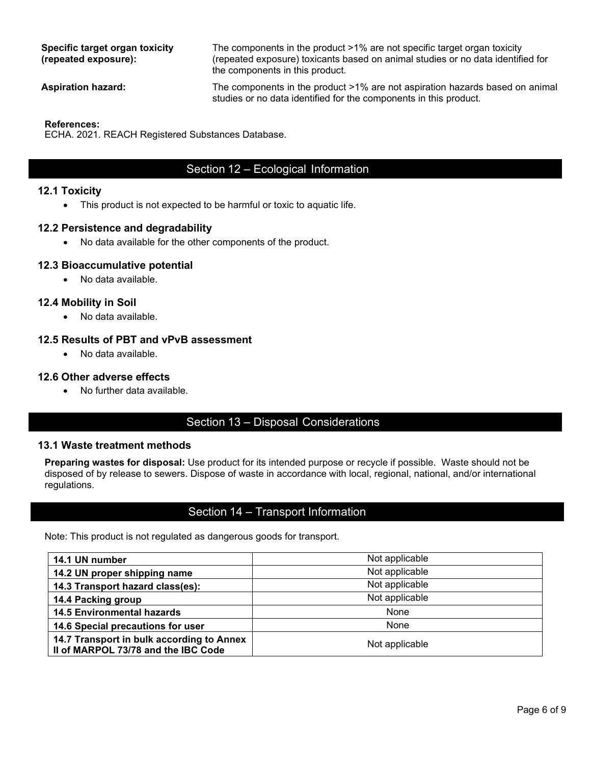| Specific target organ toxicity<br>(repeated exposure): | The components in the product >1% are not specific target organ toxicity<br>(repeated exposure) toxicants based on animal studies or no data identified for<br>the components in this product. |
|--------------------------------------------------------|------------------------------------------------------------------------------------------------------------------------------------------------------------------------------------------------|
| <b>Aspiration hazard:</b>                              | The components in the product >1% are not aspiration hazards based on animal<br>studies or no data identified for the components in this product.                                              |

#### **References:**

ECHA. 2021. REACH Registered Substances Database.

## Section 12 – Ecological Information

## **12.1 Toxicity**

• This product is not expected to be harmful or toxic to aquatic life.

## **12.2 Persistence and degradability**

• No data available for the other components of the product.

## **12.3 Bioaccumulative potential**

• No data available.

## **12.4 Mobility in Soil**

• No data available.

## **12.5 Results of PBT and vPvB assessment**

• No data available.

## **12.6 Other adverse effects**

• No further data available.

## Section 13 – Disposal Considerations

## **13.1 Waste treatment methods**

**Preparing wastes for disposal:** Use product for its intended purpose or recycle if possible. Waste should not be disposed of by release to sewers. Dispose of waste in accordance with local, regional, national, and/or international regulations.

## Section 14 – Transport Information

Note: This product is not regulated as dangerous goods for transport.

| 14.1 UN number                                                                   | Not applicable |
|----------------------------------------------------------------------------------|----------------|
| 14.2 UN proper shipping name                                                     | Not applicable |
| 14.3 Transport hazard class(es):                                                 | Not applicable |
| 14.4 Packing group                                                               | Not applicable |
| <b>14.5 Environmental hazards</b>                                                | None           |
| 14.6 Special precautions for user                                                | None           |
| 14.7 Transport in bulk according to Annex<br>Il of MARPOL 73/78 and the IBC Code | Not applicable |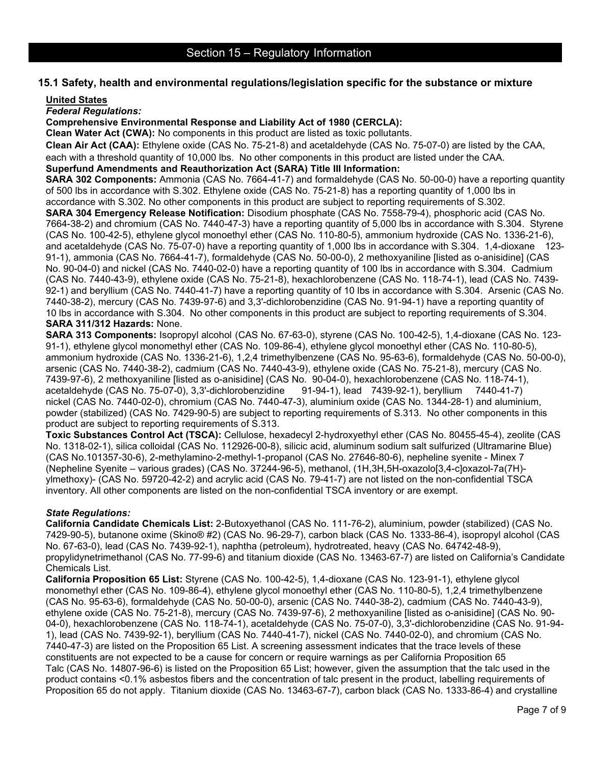## **15.1 Safety, health and environmental regulations/legislation specific for the substance or mixture**

#### **United States**

*Federal Regulations:*

**Comprehensive Environmental Response and Liability Act of 1980 (CERCLA):**

**Clean Water Act (CWA):** No components in this product are listed as toxic pollutants.

**Clean Air Act (CAA):** Ethylene oxide (CAS No. 75-21-8) and acetaldehyde (CAS No. 75-07-0) are listed by the CAA,

each with a threshold quantity of 10,000 lbs. No other components in this product are listed under the CAA.

**Superfund Amendments and Reauthorization Act (SARA) Title III Information:**

**SARA 302 Components:** Ammonia (CAS No. 7664-41-7) and formaldehyde (CAS No. 50-00-0) have a reporting quantity of 500 lbs in accordance with S.302. Ethylene oxide (CAS No. 75-21-8) has a reporting quantity of 1,000 lbs in accordance with S.302. No other components in this product are subject to reporting requirements of S.302.

**SARA 304 Emergency Release Notification:** Disodium phosphate (CAS No. 7558-79-4), phosphoric acid (CAS No. 7664-38-2) and chromium (CAS No. 7440-47-3) have a reporting quantity of 5,000 lbs in accordance with S.304. Styrene (CAS No. 100-42-5), ethylene glycol monoethyl ether (CAS No. 110-80-5), ammonium hydroxide (CAS No. 1336-21-6), and acetaldehyde (CAS No. 75-07-0) have a reporting quantity of 1,000 lbs in accordance with S.304. 1,4-dioxane 123- 91-1), ammonia (CAS No. 7664-41-7), formaldehyde (CAS No. 50-00-0), 2 methoxyaniline [listed as o-anisidine] (CAS No. 90-04-0) and nickel (CAS No. 7440-02-0) have a reporting quantity of 100 lbs in accordance with S.304. Cadmium (CAS No. 7440-43-9), ethylene oxide (CAS No. 75-21-8), hexachlorobenzene (CAS No. 118-74-1), lead (CAS No. 7439- 92-1) and beryllium (CAS No. 7440-41-7) have a reporting quantity of 10 lbs in accordance with S.304. Arsenic (CAS No. 7440-38-2), mercury (CAS No. 7439-97-6) and 3,3'-dichlorobenzidine (CAS No. 91-94-1) have a reporting quantity of 10 lbs in accordance with S.304. No other components in this product are subject to reporting requirements of S.304. **SARA 311/312 Hazards:** None.

**SARA 313 Components:** Isopropyl alcohol (CAS No. 67-63-0), styrene (CAS No. 100-42-5), 1,4-dioxane (CAS No. 123- 91-1), ethylene glycol monomethyl ether (CAS No. 109-86-4), ethylene glycol monoethyl ether (CAS No. 110-80-5), ammonium hydroxide (CAS No. 1336-21-6), 1,2,4 trimethylbenzene (CAS No. 95-63-6), formaldehyde (CAS No. 50-00-0), arsenic (CAS No. 7440-38-2), cadmium (CAS No. 7440-43-9), ethylene oxide (CAS No. 75-21-8), mercury (CAS No. 7439-97-6), 2 methoxyaniline [listed as o-anisidine] (CAS No. 90-04-0), hexachlorobenzene (CAS No. 118-74-1), acetaldehyde (CAS No. 75-07-0), 3,3'-dichlorobenzidine 91-94-1), lead 7439-92-1), beryllium 7440-41-7) nickel (CAS No. 7440-02-0), chromium (CAS No. 7440-47-3), aluminium oxide (CAS No. 1344-28-1) and aluminium, powder (stabilized) (CAS No. 7429-90-5) are subject to reporting requirements of S.313. No other components in this product are subject to reporting requirements of S.313.

**Toxic Substances Control Act (TSCA):** Cellulose, hexadecyl 2-hydroxyethyl ether (CAS No. 80455-45-4), zeolite (CAS No. 1318-02-1), silica colloidal (CAS No. 112926-00-8), silicic acid, aluminum sodium salt sulfurized (Ultramarine Blue) (CAS No.101357-30-6), 2-methylamino-2-methyl-1-propanol (CAS No. 27646-80-6), nepheline syenite - Minex 7 (Nepheline Syenite – various grades) (CAS No. 37244-96-5), methanol, (1H,3H,5H-oxazolo[3,4-c]oxazol-7a(7H) ylmethoxy)- (CAS No. 59720-42-2) and acrylic acid (CAS No. 79-41-7) are not listed on the non-confidential TSCA inventory. All other components are listed on the non-confidential TSCA inventory or are exempt.

## *State Regulations:*

**California Candidate Chemicals List:** 2-Butoxyethanol (CAS No. 111-76-2), aluminium, powder (stabilized) (CAS No. 7429-90-5), butanone oxime (Skino® #2) (CAS No. 96-29-7), carbon black (CAS No. 1333-86-4), isopropyl alcohol (CAS No. 67-63-0), lead (CAS No. 7439-92-1), naphtha (petroleum), hydrotreated, heavy (CAS No. 64742-48-9), propylidynetrimethanol (CAS No. 77-99-6) and titanium dioxide (CAS No. 13463-67-7) are listed on California's Candidate Chemicals List.

**California Proposition 65 List:** Styrene (CAS No. 100-42-5), 1,4-dioxane (CAS No. 123-91-1), ethylene glycol monomethyl ether (CAS No. 109-86-4), ethylene glycol monoethyl ether (CAS No. 110-80-5), 1,2,4 trimethylbenzene (CAS No. 95-63-6), formaldehyde (CAS No. 50-00-0), arsenic (CAS No. 7440-38-2), cadmium (CAS No. 7440-43-9), ethylene oxide (CAS No. 75-21-8), mercury (CAS No. 7439-97-6), 2 methoxyaniline [listed as o-anisidine] (CAS No. 90- 04-0), hexachlorobenzene (CAS No. 118-74-1), acetaldehyde (CAS No. 75-07-0), 3,3'-dichlorobenzidine (CAS No. 91-94- 1), lead (CAS No. 7439-92-1), beryllium (CAS No. 7440-41-7), nickel (CAS No. 7440-02-0), and chromium (CAS No. 7440-47-3) are listed on the Proposition 65 List. A screening assessment indicates that the trace levels of these constituents are not expected to be a cause for concern or require warnings as per California Proposition 65 Talc (CAS No. 14807-96-6) is listed on the Proposition 65 List; however, given the assumption that the talc used in the product contains <0.1% asbestos fibers and the concentration of talc present in the product, labelling requirements of Proposition 65 do not apply. Titanium dioxide (CAS No. 13463-67-7), carbon black (CAS No. 1333-86-4) and crystalline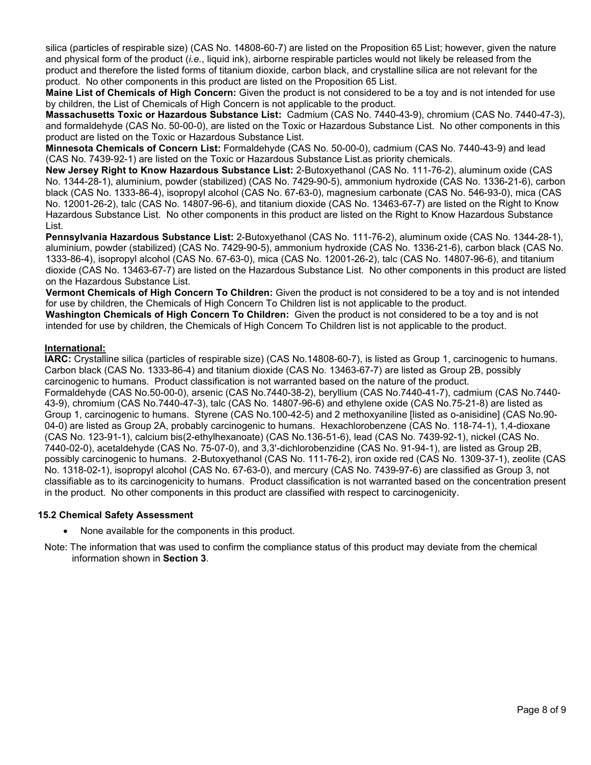silica (particles of respirable size) (CAS No. 14808-60-7) are listed on the Proposition 65 List; however, given the nature and physical form of the product (*i.e.*, liquid ink), airborne respirable particles would not likely be released from the product and therefore the listed forms of titanium dioxide, carbon black, and crystalline silica are not relevant for the product. No other components in this product are listed on the Proposition 65 List.

**Maine List of Chemicals of High Concern:** Given the product is not considered to be a toy and is not intended for use by children, the List of Chemicals of High Concern is not applicable to the product.

**Massachusetts Toxic or Hazardous Substance List:** Cadmium (CAS No. 7440-43-9), chromium (CAS No. 7440-47-3), and formaldehyde (CAS No. 50-00-0), are listed on the Toxic or Hazardous Substance List. No other components in this product are listed on the Toxic or Hazardous Substance List.

**Minnesota Chemicals of Concern List:** Formaldehyde (CAS No. 50-00-0), cadmium (CAS No. 7440-43-9) and lead (CAS No. 7439-92-1) are listed on the Toxic or Hazardous Substance List.as priority chemicals.

**New Jersey Right to Know Hazardous Substance List:** 2-Butoxyethanol (CAS No. 111-76-2), aluminum oxide (CAS No. 1344-28-1), aluminium, powder (stabilized) (CAS No. 7429-90-5), ammonium hydroxide (CAS No. 1336-21-6), carbon black (CAS No. 1333-86-4), isopropyl alcohol (CAS No. 67-63-0), magnesium carbonate (CAS No. 546-93-0), mica (CAS No. 12001-26-2), talc (CAS No. 14807-96-6), and titanium dioxide (CAS No. 13463-67-7) are listed on the Right to Know Hazardous Substance List. No other components in this product are listed on the Right to Know Hazardous Substance List.

**Pennsylvania Hazardous Substance List:** 2-Butoxyethanol (CAS No. 111-76-2), aluminum oxide (CAS No. 1344-28-1), aluminium, powder (stabilized) (CAS No. 7429-90-5), ammonium hydroxide (CAS No. 1336-21-6), carbon black (CAS No. 1333-86-4), isopropyl alcohol (CAS No. 67-63-0), mica (CAS No. 12001-26-2), talc (CAS No. 14807-96-6), and titanium dioxide (CAS No. 13463-67-7) are listed on the Hazardous Substance List. No other components in this product are listed on the Hazardous Substance List.

**Vermont Chemicals of High Concern To Children:** Given the product is not considered to be a toy and is not intended for use by children, the Chemicals of High Concern To Children list is not applicable to the product.

**Washington Chemicals of High Concern To Children:** Given the product is not considered to be a toy and is not intended for use by children, the Chemicals of High Concern To Children list is not applicable to the product.

## **International:**

**IARC:** Crystalline silica (particles of respirable size) (CAS No.14808-60-7), is listed as Group 1, carcinogenic to humans. Carbon black (CAS No. 1333-86-4) and titanium dioxide (CAS No. 13463-67-7) are listed as Group 2B, possibly carcinogenic to humans. Product classification is not warranted based on the nature of the product. Formaldehyde (CAS No.50-00-0), arsenic (CAS No.7440-38-2), beryllium (CAS No.7440-41-7), cadmium (CAS No.7440- 43-9), chromium (CAS No.7440-47-3), talc (CAS No. 14807-96-6) and ethylene oxide (CAS No.75-21-8) are listed as Group 1, carcinogenic to humans. Styrene (CAS No.100-42-5) and 2 methoxyaniline [listed as o-anisidine] (CAS No.90- 04-0) are listed as Group 2A, probably carcinogenic to humans. Hexachlorobenzene (CAS No. 118-74-1), 1,4-dioxane (CAS No. 123-91-1), calcium bis(2-ethylhexanoate) (CAS No.136-51-6), lead (CAS No. 7439-92-1), nickel (CAS No. 7440-02-0), acetaldehyde (CAS No. 75-07-0), and 3,3'-dichlorobenzidine (CAS No. 91-94-1), are listed as Group 2B, possibly carcinogenic to humans. 2-Butoxyethanol (CAS No. 111-76-2), iron oxide red (CAS No. 1309-37-1), zeolite (CAS No. 1318-02-1), isopropyl alcohol (CAS No. 67-63-0), and mercury (CAS No. 7439-97-6) are classified as Group 3, not classifiable as to its carcinogenicity to humans. Product classification is not warranted based on the concentration present in the product. No other components in this product are classified with respect to carcinogenicity.

#### **15.2 Chemical Safety Assessment**

- None available for the components in this product.
- Note: The information that was used to confirm the compliance status of this product may deviate from the chemical information shown in **Section 3**.